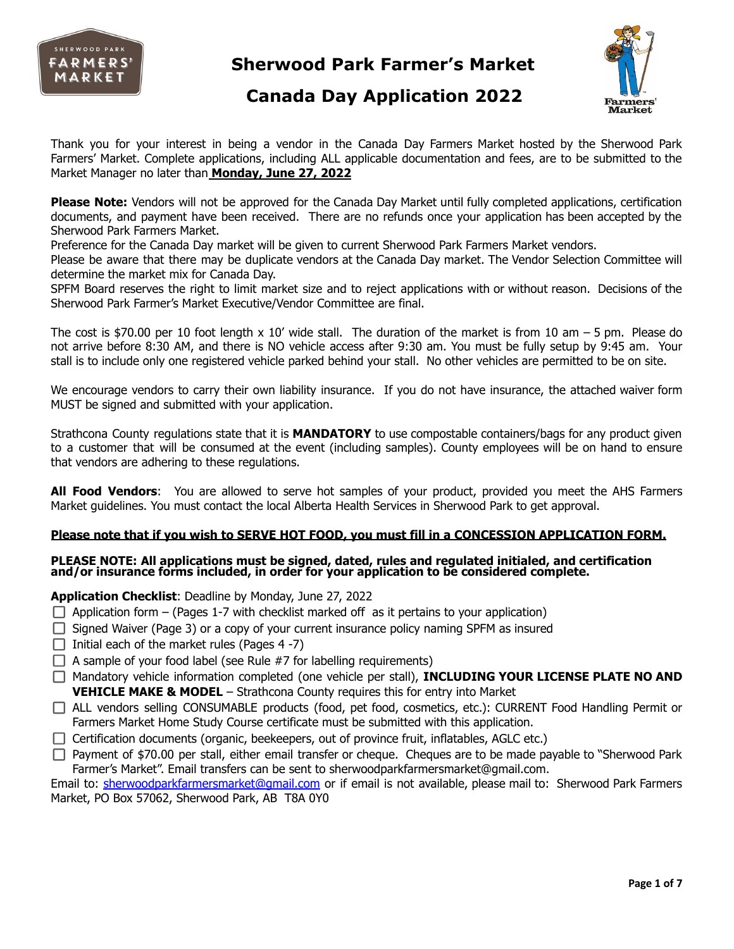



## **Canada Day Application 2022**

Thank you for your interest in being a vendor in the Canada Day Farmers Market hosted by the Sherwood Park Farmers' Market. Complete applications, including ALL applicable documentation and fees, are to be submitted to the Market Manager no later than **Monday, June 27, 2022**

**Please Note:** Vendors will not be approved for the Canada Day Market until fully completed applications, certification documents, and payment have been received. There are no refunds once your application has been accepted by the Sherwood Park Farmers Market.

Preference for the Canada Day market will be given to current Sherwood Park Farmers Market vendors.

Please be aware that there may be duplicate vendors at the Canada Day market. The Vendor Selection Committee will determine the market mix for Canada Day.

SPFM Board reserves the right to limit market size and to reject applications with or without reason. Decisions of the Sherwood Park Farmer's Market Executive/Vendor Committee are final.

The cost is \$70.00 per 10 foot length  $x$  10' wide stall. The duration of the market is from 10 am  $-5$  pm. Please do not arrive before 8:30 AM, and there is NO vehicle access after 9:30 am. You must be fully setup by 9:45 am. Your stall is to include only one registered vehicle parked behind your stall. No other vehicles are permitted to be on site.

We encourage vendors to carry their own liability insurance. If you do not have insurance, the attached waiver form MUST be signed and submitted with your application.

Strathcona County regulations state that it is **MANDATORY** to use compostable containers/bags for any product given to a customer that will be consumed at the event (including samples). County employees will be on hand to ensure that vendors are adhering to these regulations.

**All Food Vendors**: You are allowed to serve hot samples of your product, provided you meet the AHS Farmers Market guidelines. You must contact the local Alberta Health Services in Sherwood Park to get approval.

#### **Please note that if you wish to SERVE HOT FOOD, you must fill in a CONCESSION APPLICATION FORM.**

#### **PLEASE NOTE: All applications must be signed, dated, rules and regulated initialed, and certification and/or insurance forms included, in order for your application to be considered complete.**

#### **Application Checklist**: Deadline by Monday, June 27, 2022

- $\Box$  Application form (Pages 1-7 with checklist marked off as it pertains to your application)
- $\Box$  Signed Waiver (Page 3) or a copy of your current insurance policy naming SPFM as insured
- $\Box$  Initial each of the market rules (Pages 4 -7)
- $\Box$  A sample of your food label (see Rule #7 for labelling requirements)
- Mandatory vehicle information completed (one vehicle per stall), **INCLUDING YOUR LICENSE PLATE NO AND VEHICLE MAKE & MODEL** – Strathcona County requires this for entry into Market
- ALL vendors selling CONSUMABLE products (food, pet food, cosmetics, etc.): CURRENT Food Handling Permit or Farmers Market Home Study Course certificate must be submitted with this application.
- $\Box$  Certification documents (organic, beekeepers, out of province fruit, inflatables, AGLC etc.)
- $\Box$  Payment of \$70.00 per stall, either email transfer or cheque. Cheques are to be made payable to "Sherwood Park Farmer's Market". Email transfers can be sent to sherwoodparkfarmersmarket@gmail.com.

Email to: [sherwoodparkfarmersmarket@gmail.com](mailto:sherwoodparkfarmersmarket@gmail.com) or if email is not available, please mail to: Sherwood Park Farmers Market, PO Box 57062, Sherwood Park, AB T8A 0Y0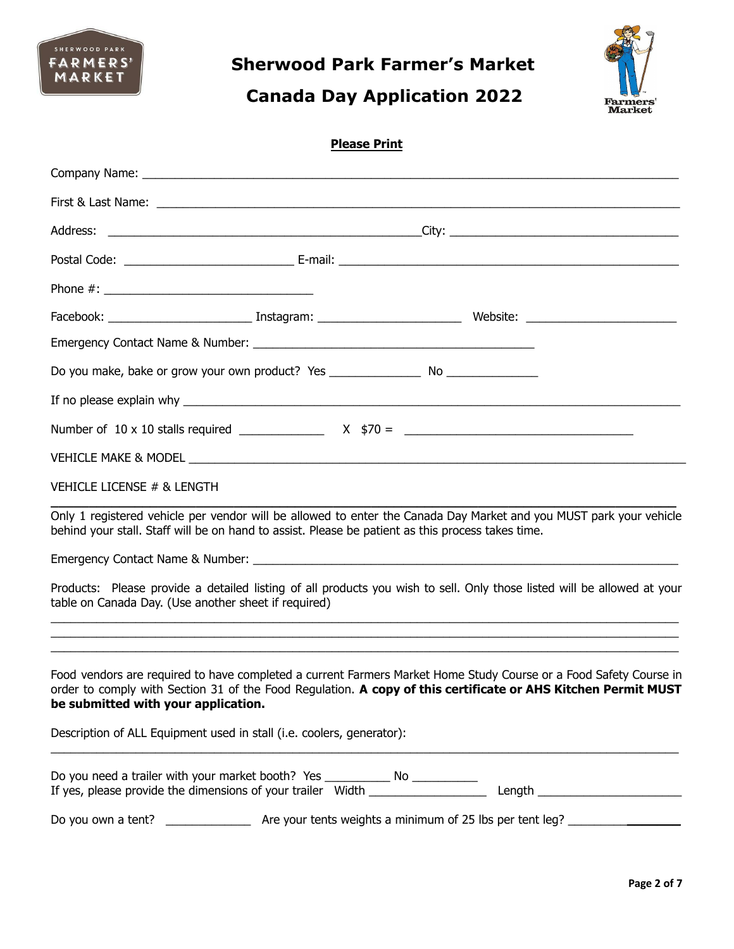

# **Canada Day Application 2022**



### **Please Print**

| Do you make, bake or grow your own product? Yes _________________________________                                                                                                                                                                                         |  |  |
|---------------------------------------------------------------------------------------------------------------------------------------------------------------------------------------------------------------------------------------------------------------------------|--|--|
|                                                                                                                                                                                                                                                                           |  |  |
|                                                                                                                                                                                                                                                                           |  |  |
|                                                                                                                                                                                                                                                                           |  |  |
| VEHICLE LICENSE # & LENGTH                                                                                                                                                                                                                                                |  |  |
| Only 1 registered vehicle per vendor will be allowed to enter the Canada Day Market and you MUST park your vehicle<br>behind your stall. Staff will be on hand to assist. Please be patient as this process takes time.                                                   |  |  |
|                                                                                                                                                                                                                                                                           |  |  |
| Products: Please provide a detailed listing of all products you wish to sell. Only those listed will be allowed at your<br>table on Canada Day. (Use another sheet if required)                                                                                           |  |  |
| Food vendors are required to have completed a current Farmers Market Home Study Course or a Food Safety Course in<br>order to comply with Section 31 of the Food Regulation. A copy of this certificate or AHS Kitchen Permit MUST<br>be submitted with your application. |  |  |
| Description of ALL Equipment used in stall (i.e. coolers, generator):                                                                                                                                                                                                     |  |  |
|                                                                                                                                                                                                                                                                           |  |  |
|                                                                                                                                                                                                                                                                           |  |  |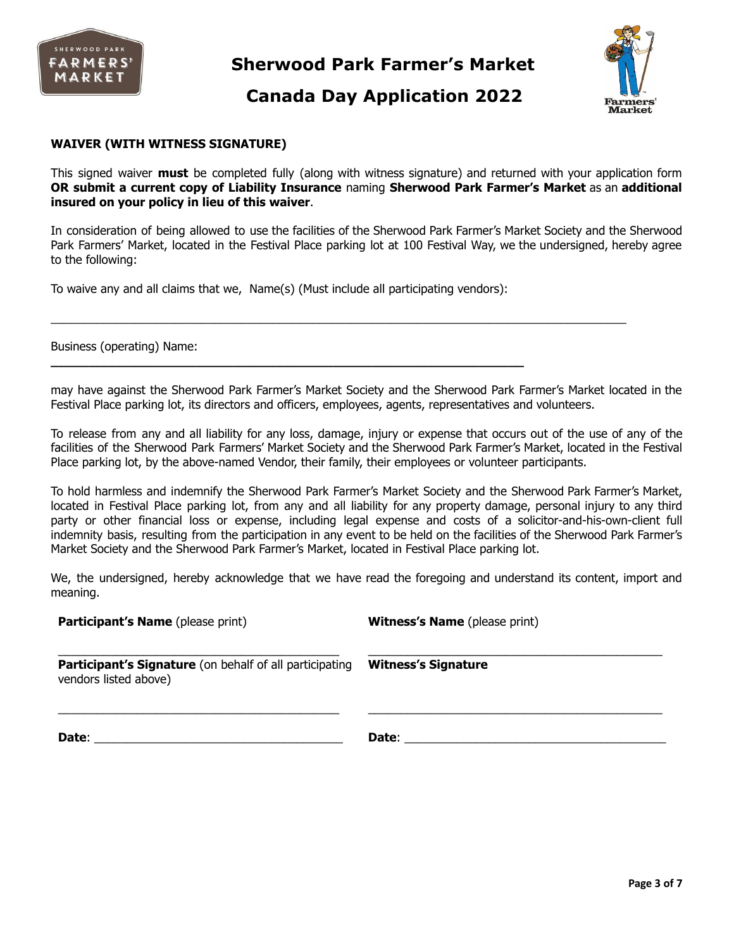

### **Canada Day Application 2022**



#### **WAIVER (WITH WITNESS SIGNATURE)**

This signed waiver **must** be completed fully (along with witness signature) and returned with your application form **OR submit a current copy of Liability Insurance** naming **Sherwood Park Farmer's Market** as an **additional insured on your policy in lieu of this waiver**.

In consideration of being allowed to use the facilities of the Sherwood Park Farmer's Market Society and the Sherwood Park Farmers' Market, located in the Festival Place parking lot at 100 Festival Way, we the undersigned, hereby agree to the following:

 $\_$  . The contribution of the contribution of the contribution of the contribution of the contribution of the contribution of the contribution of the contribution of the contribution of the contribution of the contributio

To waive any and all claims that we, Name(s) (Must include all participating vendors):

**\_\_\_\_\_\_\_\_\_\_\_\_\_\_\_\_\_\_\_\_\_\_\_\_\_\_\_\_\_\_\_\_\_\_\_\_\_\_\_\_\_\_\_\_\_\_\_\_\_\_\_\_\_\_\_\_\_\_\_\_\_\_**

Business (operating) Name:

may have against the Sherwood Park Farmer's Market Society and the Sherwood Park Farmer's Market located in the Festival Place parking lot, its directors and officers, employees, agents, representatives and volunteers.

To release from any and all liability for any loss, damage, injury or expense that occurs out of the use of any of the facilities of the Sherwood Park Farmers' Market Society and the Sherwood Park Farmer's Market, located in the Festival Place parking lot, by the above-named Vendor, their family, their employees or volunteer participants.

To hold harmless and indemnify the Sherwood Park Farmer's Market Society and the Sherwood Park Farmer's Market, located in Festival Place parking lot, from any and all liability for any property damage, personal injury to any third party or other financial loss or expense, including legal expense and costs of a solicitor-and-his-own-client full indemnity basis, resulting from the participation in any event to be held on the facilities of the Sherwood Park Farmer's Market Society and the Sherwood Park Farmer's Market, located in Festival Place parking lot.

We, the undersigned, hereby acknowledge that we have read the foregoing and understand its content, import and meaning.

| <b>Participant's Name</b> (please print)                                                | <b>Witness's Name</b> (please print)                                                                                                                                                                                           |
|-----------------------------------------------------------------------------------------|--------------------------------------------------------------------------------------------------------------------------------------------------------------------------------------------------------------------------------|
| <b>Participant's Signature</b> (on behalf of all participating<br>vendors listed above) | <b>Witness's Signature</b>                                                                                                                                                                                                     |
|                                                                                         | Date: the contract of the contract of the contract of the contract of the contract of the contract of the contract of the contract of the contract of the contract of the contract of the contract of the contract of the cont |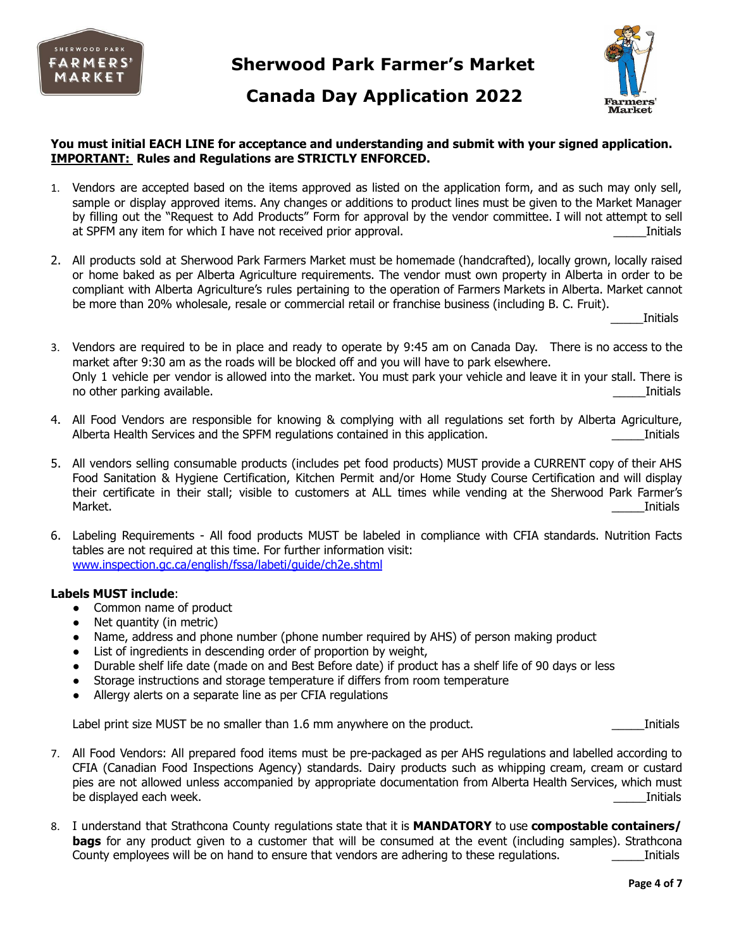

### **Canada Day Application 2022**



#### **You must initial EACH LINE for acceptance and understanding and submit with your signed application. IMPORTANT: Rules and Regulations are STRICTLY ENFORCED.**

- 1. Vendors are accepted based on the items approved as listed on the application form, and as such may only sell, sample or display approved items. Any changes or additions to product lines must be given to the Market Manager by filling out the "Request to Add Products" Form for approval by the vendor committee. I will not attempt to sell at SPFM any item for which I have not received prior approval.
- 2. All products sold at Sherwood Park Farmers Market must be homemade (handcrafted), locally grown, locally raised or home baked as per Alberta Agriculture requirements. The vendor must own property in Alberta in order to be compliant with Alberta Agriculture's rules pertaining to the operation of Farmers Markets in Alberta. Market cannot be more than 20% wholesale, resale or commercial retail or franchise business (including B. C. Fruit).

\_\_\_\_\_Initials

- 3. Vendors are required to be in place and ready to operate by 9:45 am on Canada Day. There is no access to the market after 9:30 am as the roads will be blocked off and you will have to park elsewhere. Only 1 vehicle per vendor is allowed into the market. You must park your vehicle and leave it in your stall. There is no other parking available. **Example 2018** and the set of the set of the set of the set of the set of the set of the set of the set of the set of the set of the set of the set of the set of the set of the set of the set of
- 4. All Food Vendors are responsible for knowing & complying with all regulations set forth by Alberta Agriculture, Alberta Health Services and the SPFM regulations contained in this application. **Example 20** 1 1 1 1 1 1 1 1 1 1
- 5. All vendors selling consumable products (includes pet food products) MUST provide a CURRENT copy of their AHS Food Sanitation & Hygiene Certification, Kitchen Permit and/or Home Study Course Certification and will display their certificate in their stall; visible to customers at ALL times while vending at the Sherwood Park Farmer's Market. \_\_\_\_\_Initials
- 6. Labeling Requirements All food products MUST be labeled in compliance with CFIA standards. Nutrition Facts tables are not required at this time. For further information visit: [www.inspection.gc.ca/english/fssa/labeti/guide/ch2e.shtml](http://www.inspection.gc.ca/english/fssa/labeti/guide/ch2e.shtml)

#### **Labels MUST include**:

- Common name of product
- Net quantity (in metric)
- Name, address and phone number (phone number required by AHS) of person making product
- List of ingredients in descending order of proportion by weight,
- Durable shelf life date (made on and Best Before date) if product has a shelf life of 90 days or less
- Storage instructions and storage temperature if differs from room temperature
- Allergy alerts on a separate line as per CFIA regulations

Label print size MUST be no smaller than 1.6 mm anywhere on the product. The case of the subset of the strains

- 7. All Food Vendors: All prepared food items must be pre-packaged as per AHS regulations and labelled according to CFIA (Canadian Food Inspections Agency) standards. Dairy products such as whipping cream, cream or custard pies are not allowed unless accompanied by appropriate documentation from Alberta Health Services, which must be displayed each week. **Example 20** and the displayed each week. **The set of the set of the set of the set of the set of the set of the set of the set of the set of the set of the set of the set of the set of the set of t**
- 8. I understand that Strathcona County regulations state that it is **MANDATORY** to use **compostable containers/ bags** for any product given to a customer that will be consumed at the event (including samples). Strathcona County employees will be on hand to ensure that vendors are adhering to these regulations. Thitials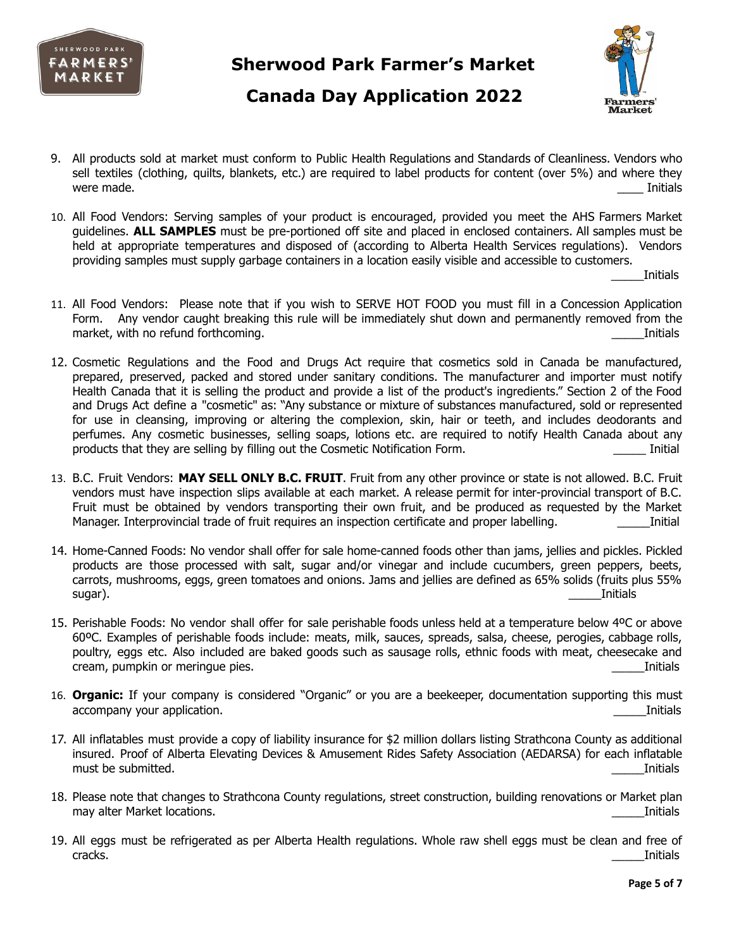

### **Canada Day Application 2022**



- 9. All products sold at market must conform to Public Health Regulations and Standards of Cleanliness. Vendors who sell textiles (clothing, quilts, blankets, etc.) are required to label products for content (over 5%) and where they were made.  $\hskip1cm$  Initials
- 10. All Food Vendors: Serving samples of your product is encouraged, provided you meet the AHS Farmers Market guidelines. **ALL SAMPLES** must be pre-portioned off site and placed in enclosed containers. All samples must be held at appropriate temperatures and disposed of (according to Alberta Health Services regulations). Vendors providing samples must supply garbage containers in a location easily visible and accessible to customers.

\_\_\_\_\_Initials

- 11. All Food Vendors: Please note that if you wish to SERVE HOT FOOD you must fill in a Concession Application Form. Any vendor caught breaking this rule will be immediately shut down and permanently removed from the market, with no refund forthcoming. The same state of the state of the state of the state of the state of the state of the state of the state of the state of the state of the state of the state of the state of the state of
- 12. Cosmetic Regulations and the Food and Drugs Act require that cosmetics sold in Canada be manufactured, prepared, preserved, packed and stored under sanitary conditions. The manufacturer and importer must notify Health Canada that it is selling the product and provide a list of the product's ingredients." Section 2 of the Food and Drugs Act define a "cosmetic" as: "Any substance or mixture of substances manufactured, sold or represented for use in cleansing, improving or altering the complexion, skin, hair or teeth, and includes deodorants and perfumes. Any cosmetic businesses, selling soaps, lotions etc. are required to notify Health Canada about any products that they are selling by filling out the Cosmetic Notification Form. **Example 1** Initial
- 13. B.C. Fruit Vendors: **MAY SELL ONLY B.C. FRUIT**. Fruit from any other province or state is not allowed. B.C. Fruit vendors must have inspection slips available at each market. A release permit for inter-provincial transport of B.C. Fruit must be obtained by vendors transporting their own fruit, and be produced as requested by the Market Manager. Interprovincial trade of fruit requires an inspection certificate and proper labelling. Thitial
- 14. Home-Canned Foods: No vendor shall offer for sale home-canned foods other than jams, jellies and pickles. Pickled products are those processed with salt, sugar and/or vinegar and include cucumbers, green peppers, beets, carrots, mushrooms, eggs, green tomatoes and onions. Jams and jellies are defined as 65% solids (fruits plus 55% sugar). \_\_\_\_\_Initials
- 15. Perishable Foods: No vendor shall offer for sale perishable foods unless held at a temperature below 4ºC or above 60ºC. Examples of perishable foods include: meats, milk, sauces, spreads, salsa, cheese, perogies, cabbage rolls, poultry, eggs etc. Also included are baked goods such as sausage rolls, ethnic foods with meat, cheesecake and cream, pumpkin or meringue pies. This is a set of the set of the set of the set of the set of the set of the set of the set of the set of the set of the set of the set of the set of the set of the set of the set of the set
- 16. **Organic:** If your company is considered "Organic" or you are a beekeeper, documentation supporting this must accompany your application. This is a set of the set of the set of the set of the set of the set of the set of the set of the set of the set of the set of the set of the set of the set of the set of the set of the set of t
- 17. All inflatables must provide a copy of liability insurance for \$2 million dollars listing Strathcona County as additional insured. Proof of Alberta Elevating Devices & Amusement Rides Safety Association (AEDARSA) for each inflatable must be submitted. The submitted of the submitted of the submitted of the submitted of the submitted of the submitted of the submitted of the submitted of the submitted of the submitted of the submitted of the submitted of
- 18. Please note that changes to Strathcona County regulations, street construction, building renovations or Market plan may alter Market locations. **Example 20** and the set of the set of the set of the set of the set of the set of the set of the set of the set of the set of the set of the set of the set of the set of the set of the set of t
- 19. All eggs must be refrigerated as per Alberta Health regulations. Whole raw shell eggs must be clean and free of cracks. \_\_\_\_\_Initials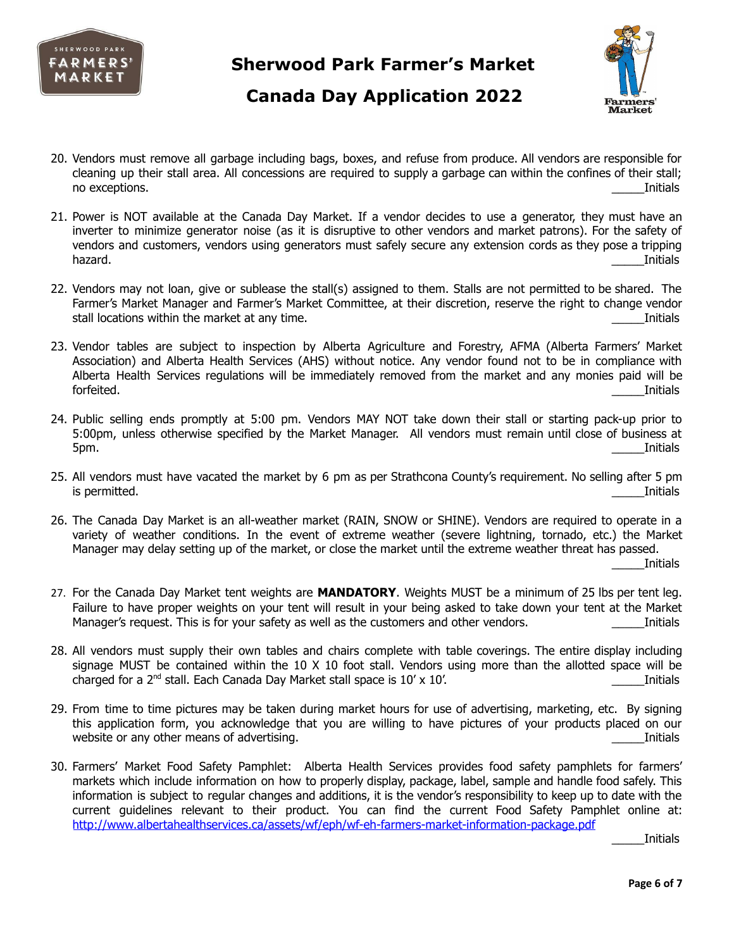

# **Canada Day Application 2022**



- 20. Vendors must remove all garbage including bags, boxes, and refuse from produce. All vendors are responsible for cleaning up their stall area. All concessions are required to supply a garbage can within the confines of their stall; no exceptions. **Example 2** and the set of the set of the set of the set of the set of the set of the set of the set of the set of the set of the set of the set of the set of the set of the set of the set of the set of the
- 21. Power is NOT available at the Canada Day Market. If a vendor decides to use a generator, they must have an inverter to minimize generator noise (as it is disruptive to other vendors and market patrons). For the safety of vendors and customers, vendors using generators must safely secure any extension cords as they pose a tripping hazard. \_\_\_\_\_Initials
- 22. Vendors may not loan, give or sublease the stall(s) assigned to them. Stalls are not permitted to be shared. The Farmer's Market Manager and Farmer's Market Committee, at their discretion, reserve the right to change vendor stall locations within the market at any time. This is a state of the matrix of the matrix of the matrix of the matrix of the matrix of the matrix of the matrix of the matrix of the matrix of the matrix of the matrix of th
- 23. Vendor tables are subject to inspection by Alberta Agriculture and Forestry, AFMA (Alberta Farmers' Market Association) and Alberta Health Services (AHS) without notice. Any vendor found not to be in compliance with Alberta Health Services regulations will be immediately removed from the market and any monies paid will be forfeited. \_\_\_\_\_Initials
- 24. Public selling ends promptly at 5:00 pm. Vendors MAY NOT take down their stall or starting pack-up prior to 5:00pm, unless otherwise specified by the Market Manager. All vendors must remain until close of business at 5pm. \_\_\_\_\_Initials
- 25. All vendors must have vacated the market by 6 pm as per Strathcona County's requirement. No selling after 5 pm is permitted. \_\_\_\_\_Initials
- 26. The Canada Day Market is an all-weather market (RAIN, SNOW or SHINE). Vendors are required to operate in a variety of weather conditions. In the event of extreme weather (severe lightning, tornado, etc.) the Market Manager may delay setting up of the market, or close the market until the extreme weather threat has passed.

\_\_\_\_\_Initials

- 27. For the Canada Day Market tent weights are **MANDATORY**. Weights MUST be a minimum of 25 lbs per tent leg. Failure to have proper weights on your tent will result in your being asked to take down your tent at the Market Manager's request. This is for your safety as well as the customers and other vendors. This is for initials
- 28. All vendors must supply their own tables and chairs complete with table coverings. The entire display including signage MUST be contained within the 10 X 10 foot stall. Vendors using more than the allotted space will be charged for a 2<sup>nd</sup> stall. Each Canada Day Market stall space is 10' x 10'. **Example 20 and Secure 2014** Initials
- 29. From time to time pictures may be taken during market hours for use of advertising, marketing, etc. By signing this application form, you acknowledge that you are willing to have pictures of your products placed on our website or any other means of advertising. This is a set of the set of a set of a set of a set of a set of a set of a set of a set of a set of a set of a set of a set of a set of a set of a set of a set of a set of a set o
- 30. Farmers' Market Food Safety Pamphlet: Alberta Health Services provides food safety pamphlets for farmers' markets which include information on how to properly display, package, label, sample and handle food safely. This information is subject to regular changes and additions, it is the vendor's responsibility to keep up to date with the current guidelines relevant to their product. You can find the current Food Safety Pamphlet online at: <http://www.albertahealthservices.ca/assets/wf/eph/wf-eh-farmers-market-information-package.pdf>

**Initials**